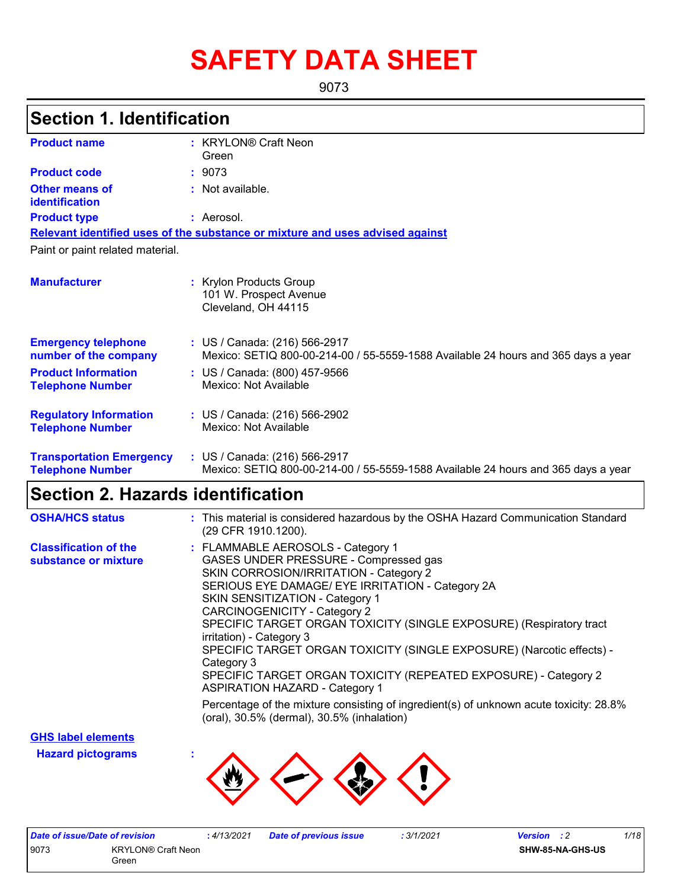# **SAFETY DATA SHEET**

9073

## **Section 1. Identification**

| <b>Product name</b>                                        | : KRYLON® Craft Neon<br>Green                                                                                      |
|------------------------------------------------------------|--------------------------------------------------------------------------------------------------------------------|
| <b>Product code</b>                                        | : 9073                                                                                                             |
| <b>Other means of</b><br>identification                    | : Not available.                                                                                                   |
| <b>Product type</b>                                        | : Aerosol.                                                                                                         |
|                                                            | Relevant identified uses of the substance or mixture and uses advised against                                      |
| Paint or paint related material.                           |                                                                                                                    |
| <b>Manufacturer</b>                                        | <b>Krylon Products Group</b><br>101 W. Prospect Avenue<br>Cleveland, OH 44115                                      |
| <b>Emergency telephone</b><br>number of the company        | : US / Canada: (216) 566-2917<br>Mexico: SETIQ 800-00-214-00 / 55-5559-1588 Available 24 hours and 365 days a year |
| <b>Product Information</b><br><b>Telephone Number</b>      | : US / Canada: (800) 457-9566<br>Mexico: Not Available                                                             |
| <b>Regulatory Information</b><br><b>Telephone Number</b>   | : US / Canada: (216) 566-2902<br>Mexico: Not Available                                                             |
| <b>Transportation Emergency</b><br><b>Telephone Number</b> | : US / Canada: (216) 566-2917<br>Mexico: SETIQ 800-00-214-00 / 55-5559-1588 Available 24 hours and 365 days a year |

## **Section 2. Hazards identification**

| <b>OSHA/HCS status</b>                               | : This material is considered hazardous by the OSHA Hazard Communication Standard<br>(29 CFR 1910.1200).                                                                                                                                                                                                                                                                                                                                                                                                                                          |
|------------------------------------------------------|---------------------------------------------------------------------------------------------------------------------------------------------------------------------------------------------------------------------------------------------------------------------------------------------------------------------------------------------------------------------------------------------------------------------------------------------------------------------------------------------------------------------------------------------------|
| <b>Classification of the</b><br>substance or mixture | : FLAMMABLE AEROSOLS - Category 1<br>GASES UNDER PRESSURE - Compressed gas<br>SKIN CORROSION/IRRITATION - Category 2<br>SERIOUS EYE DAMAGE/ EYE IRRITATION - Category 2A<br>SKIN SENSITIZATION - Category 1<br>CARCINOGENICITY - Category 2<br>SPECIFIC TARGET ORGAN TOXICITY (SINGLE EXPOSURE) (Respiratory tract<br>irritation) - Category 3<br>SPECIFIC TARGET ORGAN TOXICITY (SINGLE EXPOSURE) (Narcotic effects) -<br>Category 3<br>SPECIFIC TARGET ORGAN TOXICITY (REPEATED EXPOSURE) - Category 2<br><b>ASPIRATION HAZARD - Category 1</b> |
|                                                      | Percentage of the mixture consisting of ingredient(s) of unknown acute toxicity: 28.8%<br>(oral), 30.5% (dermal), 30.5% (inhalation)                                                                                                                                                                                                                                                                                                                                                                                                              |

**GHS label elements**

**Hazard pictograms :**



| Date of issue/Date of revision |                                    | : 4/13/2021 | <b>Date of previous issue</b> | 3/1/2021 | <b>Version</b> : 2 |                  | 1/18 |
|--------------------------------|------------------------------------|-------------|-------------------------------|----------|--------------------|------------------|------|
| 9073                           | <b>KRYLON® Craft Neon</b><br>Green |             |                               |          |                    | SHW-85-NA-GHS-US |      |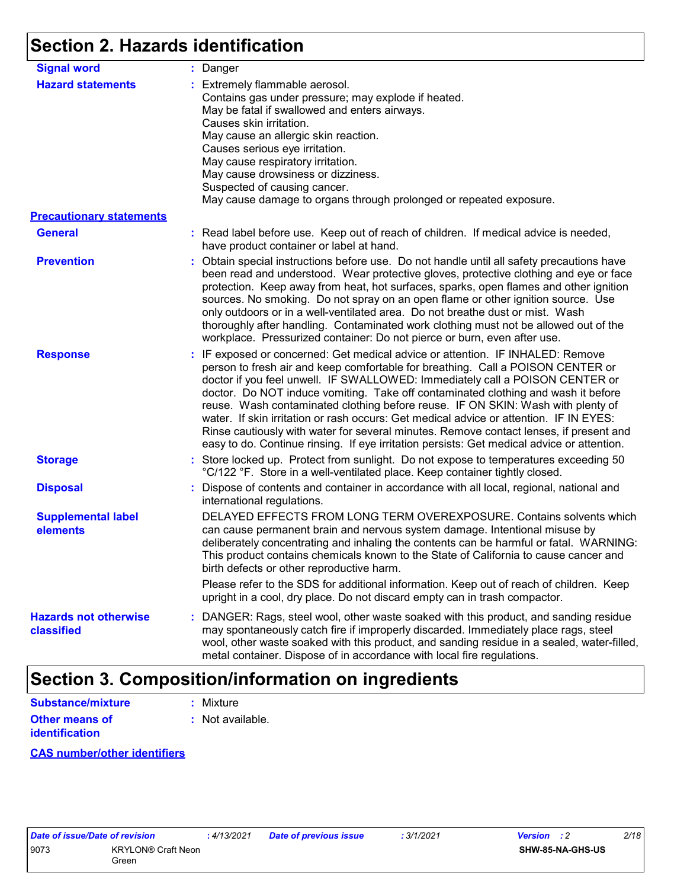## **Section 2. Hazards identification**

| <b>Signal word</b>                         | : Danger                                                                                                                                                                                                                                                                                                                                                                                                                                                                                                                                                                                                                                                                                                    |
|--------------------------------------------|-------------------------------------------------------------------------------------------------------------------------------------------------------------------------------------------------------------------------------------------------------------------------------------------------------------------------------------------------------------------------------------------------------------------------------------------------------------------------------------------------------------------------------------------------------------------------------------------------------------------------------------------------------------------------------------------------------------|
| <b>Hazard statements</b>                   | : Extremely flammable aerosol.<br>Contains gas under pressure; may explode if heated.<br>May be fatal if swallowed and enters airways.<br>Causes skin irritation.<br>May cause an allergic skin reaction.<br>Causes serious eye irritation.<br>May cause respiratory irritation.<br>May cause drowsiness or dizziness.<br>Suspected of causing cancer.<br>May cause damage to organs through prolonged or repeated exposure.                                                                                                                                                                                                                                                                                |
| <b>Precautionary statements</b>            |                                                                                                                                                                                                                                                                                                                                                                                                                                                                                                                                                                                                                                                                                                             |
| <b>General</b>                             | : Read label before use. Keep out of reach of children. If medical advice is needed,<br>have product container or label at hand.                                                                                                                                                                                                                                                                                                                                                                                                                                                                                                                                                                            |
| <b>Prevention</b>                          | : Obtain special instructions before use. Do not handle until all safety precautions have<br>been read and understood. Wear protective gloves, protective clothing and eye or face<br>protection. Keep away from heat, hot surfaces, sparks, open flames and other ignition<br>sources. No smoking. Do not spray on an open flame or other ignition source. Use<br>only outdoors or in a well-ventilated area. Do not breathe dust or mist. Wash<br>thoroughly after handling. Contaminated work clothing must not be allowed out of the<br>workplace. Pressurized container: Do not pierce or burn, even after use.                                                                                        |
| <b>Response</b>                            | : IF exposed or concerned: Get medical advice or attention. IF INHALED: Remove<br>person to fresh air and keep comfortable for breathing. Call a POISON CENTER or<br>doctor if you feel unwell. IF SWALLOWED: Immediately call a POISON CENTER or<br>doctor. Do NOT induce vomiting. Take off contaminated clothing and wash it before<br>reuse. Wash contaminated clothing before reuse. IF ON SKIN: Wash with plenty of<br>water. If skin irritation or rash occurs: Get medical advice or attention. IF IN EYES:<br>Rinse cautiously with water for several minutes. Remove contact lenses, if present and<br>easy to do. Continue rinsing. If eye irritation persists: Get medical advice or attention. |
| <b>Storage</b>                             | : Store locked up. Protect from sunlight. Do not expose to temperatures exceeding 50<br>°C/122 °F. Store in a well-ventilated place. Keep container tightly closed.                                                                                                                                                                                                                                                                                                                                                                                                                                                                                                                                         |
| <b>Disposal</b>                            | : Dispose of contents and container in accordance with all local, regional, national and<br>international regulations.                                                                                                                                                                                                                                                                                                                                                                                                                                                                                                                                                                                      |
| <b>Supplemental label</b><br>elements      | DELAYED EFFECTS FROM LONG TERM OVEREXPOSURE. Contains solvents which<br>can cause permanent brain and nervous system damage. Intentional misuse by<br>deliberately concentrating and inhaling the contents can be harmful or fatal. WARNING:<br>This product contains chemicals known to the State of California to cause cancer and<br>birth defects or other reproductive harm.                                                                                                                                                                                                                                                                                                                           |
|                                            | Please refer to the SDS for additional information. Keep out of reach of children. Keep<br>upright in a cool, dry place. Do not discard empty can in trash compactor.                                                                                                                                                                                                                                                                                                                                                                                                                                                                                                                                       |
| <b>Hazards not otherwise</b><br>classified | : DANGER: Rags, steel wool, other waste soaked with this product, and sanding residue<br>may spontaneously catch fire if improperly discarded. Immediately place rags, steel<br>wool, other waste soaked with this product, and sanding residue in a sealed, water-filled,<br>metal container. Dispose of in accordance with local fire regulations.                                                                                                                                                                                                                                                                                                                                                        |

## **Section 3. Composition/information on ingredients**

| <b>Substance/mixture</b>                | : Mixture        |
|-----------------------------------------|------------------|
| Other means of<br><b>identification</b> | : Not available. |
|                                         |                  |

#### **CAS number/other identifiers**

| Date of issue/Date of revision |                                    |
|--------------------------------|------------------------------------|
| 9073                           | <b>KRYLON® Craft Neon</b><br>Green |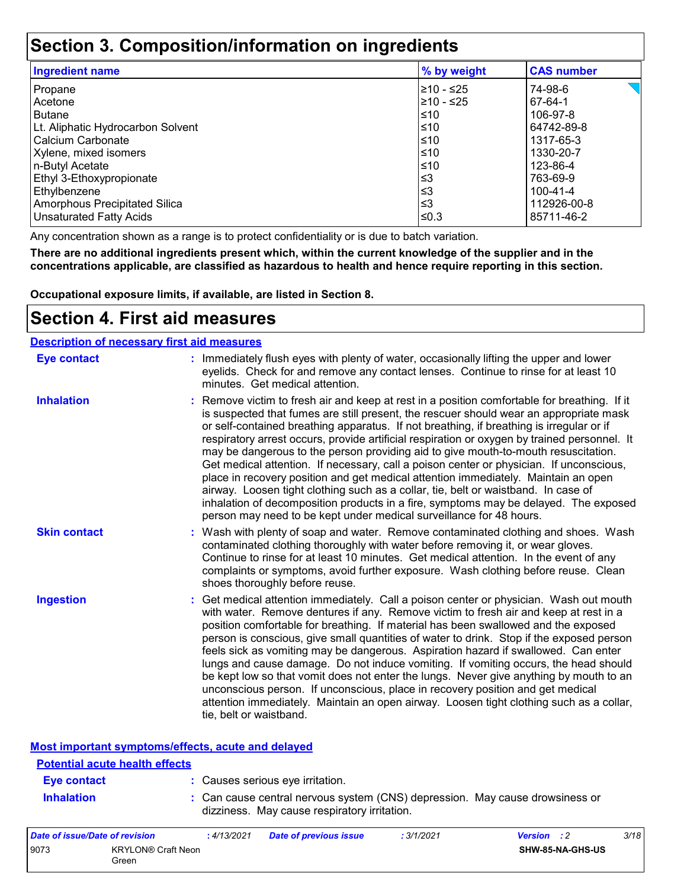### **Section 3. Composition/information on ingredients**

| <b>Ingredient name</b>            | % by weight | <b>CAS number</b> |
|-----------------------------------|-------------|-------------------|
| Propane                           | 210 - ≤25   | 74-98-6           |
| Acetone                           | 210 - ≤25   | 67-64-1           |
| <b>Butane</b>                     | ≤10         | 106-97-8          |
| Lt. Aliphatic Hydrocarbon Solvent | $\leq 10$   | 64742-89-8        |
| Calcium Carbonate                 | ≤10         | 1317-65-3         |
| Xylene, mixed isomers             | $\leq 10$   | 1330-20-7         |
| n-Butyl Acetate                   | $\leq 10$   | 123-86-4          |
| Ethyl 3-Ethoxypropionate          | $\leq$ 3    | 763-69-9          |
| Ethylbenzene                      | $\leq$ 3    | 100-41-4          |
| Amorphous Precipitated Silica     | $\leq$ 3    | 112926-00-8       |
| <b>Unsaturated Fatty Acids</b>    | l≤0.3       | 85711-46-2        |

Any concentration shown as a range is to protect confidentiality or is due to batch variation.

**There are no additional ingredients present which, within the current knowledge of the supplier and in the concentrations applicable, are classified as hazardous to health and hence require reporting in this section.**

**Occupational exposure limits, if available, are listed in Section 8.**

### **Section 4. First aid measures**

#### **Description of necessary first aid measures**

| <b>Eye contact</b>  | : Immediately flush eyes with plenty of water, occasionally lifting the upper and lower<br>eyelids. Check for and remove any contact lenses. Continue to rinse for at least 10<br>minutes. Get medical attention.                                                                                                                                                                                                                                                                                                                                                                                                                                                                                                                                                                                                                                                                                              |
|---------------------|----------------------------------------------------------------------------------------------------------------------------------------------------------------------------------------------------------------------------------------------------------------------------------------------------------------------------------------------------------------------------------------------------------------------------------------------------------------------------------------------------------------------------------------------------------------------------------------------------------------------------------------------------------------------------------------------------------------------------------------------------------------------------------------------------------------------------------------------------------------------------------------------------------------|
| <b>Inhalation</b>   | : Remove victim to fresh air and keep at rest in a position comfortable for breathing. If it<br>is suspected that fumes are still present, the rescuer should wear an appropriate mask<br>or self-contained breathing apparatus. If not breathing, if breathing is irregular or if<br>respiratory arrest occurs, provide artificial respiration or oxygen by trained personnel. It<br>may be dangerous to the person providing aid to give mouth-to-mouth resuscitation.<br>Get medical attention. If necessary, call a poison center or physician. If unconscious,<br>place in recovery position and get medical attention immediately. Maintain an open<br>airway. Loosen tight clothing such as a collar, tie, belt or waistband. In case of<br>inhalation of decomposition products in a fire, symptoms may be delayed. The exposed<br>person may need to be kept under medical surveillance for 48 hours. |
| <b>Skin contact</b> | : Wash with plenty of soap and water. Remove contaminated clothing and shoes. Wash<br>contaminated clothing thoroughly with water before removing it, or wear gloves.<br>Continue to rinse for at least 10 minutes. Get medical attention. In the event of any<br>complaints or symptoms, avoid further exposure. Wash clothing before reuse. Clean<br>shoes thoroughly before reuse.                                                                                                                                                                                                                                                                                                                                                                                                                                                                                                                          |
| <b>Ingestion</b>    | : Get medical attention immediately. Call a poison center or physician. Wash out mouth<br>with water. Remove dentures if any. Remove victim to fresh air and keep at rest in a<br>position comfortable for breathing. If material has been swallowed and the exposed<br>person is conscious, give small quantities of water to drink. Stop if the exposed person<br>feels sick as vomiting may be dangerous. Aspiration hazard if swallowed. Can enter<br>lungs and cause damage. Do not induce vomiting. If vomiting occurs, the head should<br>be kept low so that vomit does not enter the lungs. Never give anything by mouth to an<br>unconscious person. If unconscious, place in recovery position and get medical<br>attention immediately. Maintain an open airway. Loosen tight clothing such as a collar,<br>tie, belt or waistband.                                                                |

| <b>Most important symptoms/effects, acute and delayed</b> |                                                                                                                              |
|-----------------------------------------------------------|------------------------------------------------------------------------------------------------------------------------------|
| <b>Potential acute health effects</b>                     |                                                                                                                              |
| Eye contact                                               | : Causes serious eye irritation.                                                                                             |
| <b>Inhalation</b>                                         | : Can cause central nervous system (CNS) depression. May cause drowsiness or<br>dizziness. May cause respiratory irritation. |

| Date of issue/Date of revision |                                    | : 4/13/2021 | Date of previous issue | 3/1/2021 | <b>Version</b> : 2 |                  | 3/18 |
|--------------------------------|------------------------------------|-------------|------------------------|----------|--------------------|------------------|------|
| 9073                           | <b>KRYLON® Craft Neon</b><br>Green |             |                        |          |                    | SHW-85-NA-GHS-US |      |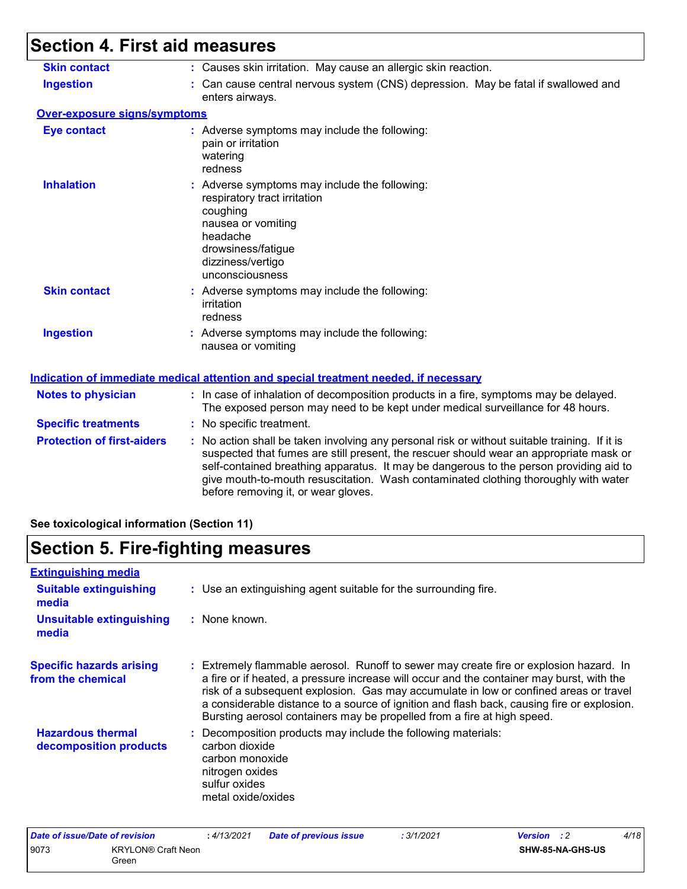# **Section 4. First aid measures**

| <b>Skin contact</b>               | : Causes skin irritation. May cause an allergic skin reaction.                                                                                                                                                                                                                                                                                                                                                  |
|-----------------------------------|-----------------------------------------------------------------------------------------------------------------------------------------------------------------------------------------------------------------------------------------------------------------------------------------------------------------------------------------------------------------------------------------------------------------|
| <b>Ingestion</b>                  | : Can cause central nervous system (CNS) depression. May be fatal if swallowed and<br>enters airways.                                                                                                                                                                                                                                                                                                           |
| Over-exposure signs/symptoms      |                                                                                                                                                                                                                                                                                                                                                                                                                 |
| <b>Eye contact</b>                | : Adverse symptoms may include the following:<br>pain or irritation<br>watering<br>redness                                                                                                                                                                                                                                                                                                                      |
| <b>Inhalation</b>                 | : Adverse symptoms may include the following:<br>respiratory tract irritation<br>coughing<br>nausea or vomiting<br>headache<br>drowsiness/fatigue<br>dizziness/vertigo<br>unconsciousness                                                                                                                                                                                                                       |
| <b>Skin contact</b>               | : Adverse symptoms may include the following:<br>irritation<br>redness                                                                                                                                                                                                                                                                                                                                          |
| <b>Ingestion</b>                  | : Adverse symptoms may include the following:<br>nausea or vomiting                                                                                                                                                                                                                                                                                                                                             |
|                                   | <b>Indication of immediate medical attention and special treatment needed, if necessary</b>                                                                                                                                                                                                                                                                                                                     |
| <b>Notes to physician</b>         | : In case of inhalation of decomposition products in a fire, symptoms may be delayed.<br>The exposed person may need to be kept under medical surveillance for 48 hours.                                                                                                                                                                                                                                        |
| <b>Specific treatments</b>        | : No specific treatment.                                                                                                                                                                                                                                                                                                                                                                                        |
| <b>Protection of first-aiders</b> | : No action shall be taken involving any personal risk or without suitable training. If it is<br>suspected that fumes are still present, the rescuer should wear an appropriate mask or<br>self-contained breathing apparatus. It may be dangerous to the person providing aid to<br>give mouth-to-mouth resuscitation. Wash contaminated clothing thoroughly with water<br>before removing it, or wear gloves. |
|                                   |                                                                                                                                                                                                                                                                                                                                                                                                                 |

#### **See toxicological information (Section 11)**

## **Section 5. Fire-fighting measures**

| <b>Extinguishing media</b>                           |                                                                                                                                                                                                                                                                                                                                                                                                                                                       |
|------------------------------------------------------|-------------------------------------------------------------------------------------------------------------------------------------------------------------------------------------------------------------------------------------------------------------------------------------------------------------------------------------------------------------------------------------------------------------------------------------------------------|
| <b>Suitable extinguishing</b><br>media               | : Use an extinguishing agent suitable for the surrounding fire.                                                                                                                                                                                                                                                                                                                                                                                       |
| <b>Unsuitable extinguishing</b><br>media             | : None known.                                                                                                                                                                                                                                                                                                                                                                                                                                         |
| <b>Specific hazards arising</b><br>from the chemical | : Extremely flammable aerosol. Runoff to sewer may create fire or explosion hazard. In<br>a fire or if heated, a pressure increase will occur and the container may burst, with the<br>risk of a subsequent explosion. Gas may accumulate in low or confined areas or travel<br>a considerable distance to a source of ignition and flash back, causing fire or explosion.<br>Bursting aerosol containers may be propelled from a fire at high speed. |
| <b>Hazardous thermal</b><br>decomposition products   | : Decomposition products may include the following materials:<br>carbon dioxide<br>carbon monoxide<br>nitrogen oxides<br>sulfur oxides<br>metal oxide/oxides                                                                                                                                                                                                                                                                                          |

| Date of issue/Date of revision |                           | 4/13/2021 | <b>Date of previous issue</b> | : 3/1/2021 | <b>Version</b> : 2 |                  | 4/18 |
|--------------------------------|---------------------------|-----------|-------------------------------|------------|--------------------|------------------|------|
| 9073                           | <b>KRYLON® Craft Neon</b> |           |                               |            |                    | SHW-85-NA-GHS-US |      |
|                                | Green                     |           |                               |            |                    |                  |      |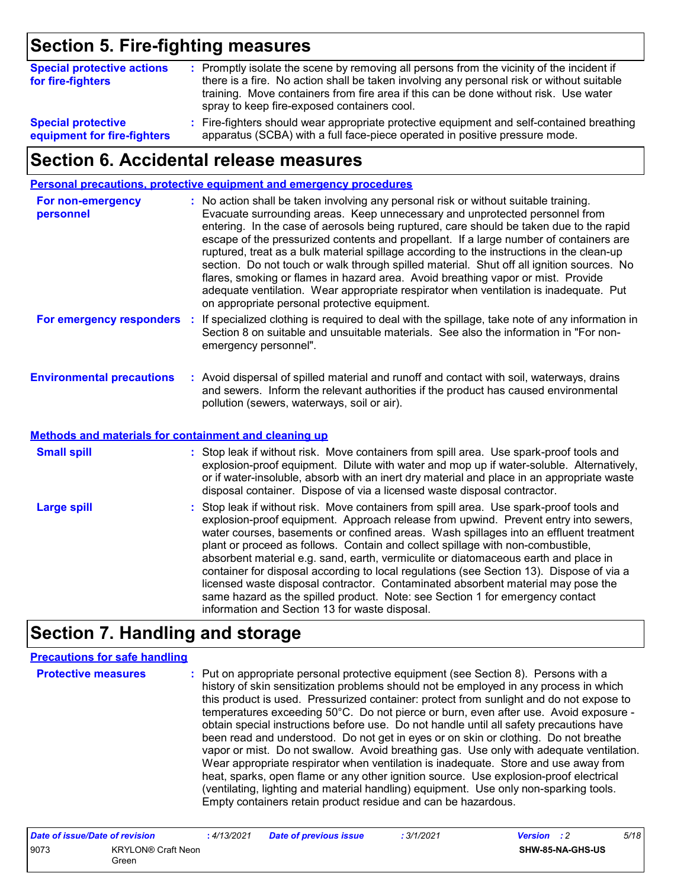### **Section 5. Fire-fighting measures**

| <b>Special protective actions</b><br>for fire-fighters | : Promptly isolate the scene by removing all persons from the vicinity of the incident if<br>there is a fire. No action shall be taken involving any personal risk or without suitable<br>training. Move containers from fire area if this can be done without risk. Use water<br>spray to keep fire-exposed containers cool. |
|--------------------------------------------------------|-------------------------------------------------------------------------------------------------------------------------------------------------------------------------------------------------------------------------------------------------------------------------------------------------------------------------------|
| <b>Special protective</b>                              | : Fire-fighters should wear appropriate protective equipment and self-contained breathing                                                                                                                                                                                                                                     |
| equipment for fire-fighters                            | apparatus (SCBA) with a full face-piece operated in positive pressure mode.                                                                                                                                                                                                                                                   |

### **Section 6. Accidental release measures**

|                                                                                                  |    | <b>Personal precautions, protective equipment and emergency procedures</b>                                                                                                                                                                                                                                                                                                                                                                                                                                                                                                                                                                                                                                                                                                       |
|--------------------------------------------------------------------------------------------------|----|----------------------------------------------------------------------------------------------------------------------------------------------------------------------------------------------------------------------------------------------------------------------------------------------------------------------------------------------------------------------------------------------------------------------------------------------------------------------------------------------------------------------------------------------------------------------------------------------------------------------------------------------------------------------------------------------------------------------------------------------------------------------------------|
| For non-emergency<br>personnel                                                                   |    | : No action shall be taken involving any personal risk or without suitable training.<br>Evacuate surrounding areas. Keep unnecessary and unprotected personnel from<br>entering. In the case of aerosols being ruptured, care should be taken due to the rapid<br>escape of the pressurized contents and propellant. If a large number of containers are<br>ruptured, treat as a bulk material spillage according to the instructions in the clean-up<br>section. Do not touch or walk through spilled material. Shut off all ignition sources. No<br>flares, smoking or flames in hazard area. Avoid breathing vapor or mist. Provide<br>adequate ventilation. Wear appropriate respirator when ventilation is inadequate. Put<br>on appropriate personal protective equipment. |
| For emergency responders                                                                         | ÷. | If specialized clothing is required to deal with the spillage, take note of any information in<br>Section 8 on suitable and unsuitable materials. See also the information in "For non-<br>emergency personnel".                                                                                                                                                                                                                                                                                                                                                                                                                                                                                                                                                                 |
| <b>Environmental precautions</b><br><b>Methods and materials for containment and cleaning up</b> |    | : Avoid dispersal of spilled material and runoff and contact with soil, waterways, drains<br>and sewers. Inform the relevant authorities if the product has caused environmental<br>pollution (sewers, waterways, soil or air).                                                                                                                                                                                                                                                                                                                                                                                                                                                                                                                                                  |
|                                                                                                  |    |                                                                                                                                                                                                                                                                                                                                                                                                                                                                                                                                                                                                                                                                                                                                                                                  |
| <b>Small spill</b>                                                                               |    | : Stop leak if without risk. Move containers from spill area. Use spark-proof tools and<br>explosion-proof equipment. Dilute with water and mop up if water-soluble. Alternatively,<br>or if water-insoluble, absorb with an inert dry material and place in an appropriate waste<br>disposal container. Dispose of via a licensed waste disposal contractor.                                                                                                                                                                                                                                                                                                                                                                                                                    |
| <b>Large spill</b>                                                                               |    | : Stop leak if without risk. Move containers from spill area. Use spark-proof tools and<br>explosion-proof equipment. Approach release from upwind. Prevent entry into sewers,<br>water courses, basements or confined areas. Wash spillages into an effluent treatment<br>plant or proceed as follows. Contain and collect spillage with non-combustible,<br>absorbent material e.g. sand, earth, vermiculite or diatomaceous earth and place in<br>container for disposal according to local regulations (see Section 13). Dispose of via a<br>licensed waste disposal contractor. Contaminated absorbent material may pose the<br>same hazard as the spilled product. Note: see Section 1 for emergency contact<br>information and Section 13 for waste disposal.             |

## **Section 7. Handling and storage**

#### **Precautions for safe handling**

**Protective measures** : Put on appropriate personal protective equipment (see Section 8). Persons with a **Protestion** history of skin sensitization problems should not be employed in any process in which this product is used. Pressurized container: protect from sunlight and do not expose to temperatures exceeding 50°C. Do not pierce or burn, even after use. Avoid exposure obtain special instructions before use. Do not handle until all safety precautions have been read and understood. Do not get in eyes or on skin or clothing. Do not breathe vapor or mist. Do not swallow. Avoid breathing gas. Use only with adequate ventilation. Wear appropriate respirator when ventilation is inadequate. Store and use away from heat, sparks, open flame or any other ignition source. Use explosion-proof electrical (ventilating, lighting and material handling) equipment. Use only non-sparking tools. Empty containers retain product residue and can be hazardous.

| Date of issue/Date of revision |                                    | : 4/13/2021 | <b>Date of previous issue</b> | : 3/1/2021 | <b>Version</b> : 2 |                         | 5/18 |
|--------------------------------|------------------------------------|-------------|-------------------------------|------------|--------------------|-------------------------|------|
| 9073                           | <b>KRYLON® Craft Neon</b><br>Green |             |                               |            |                    | <b>SHW-85-NA-GHS-US</b> |      |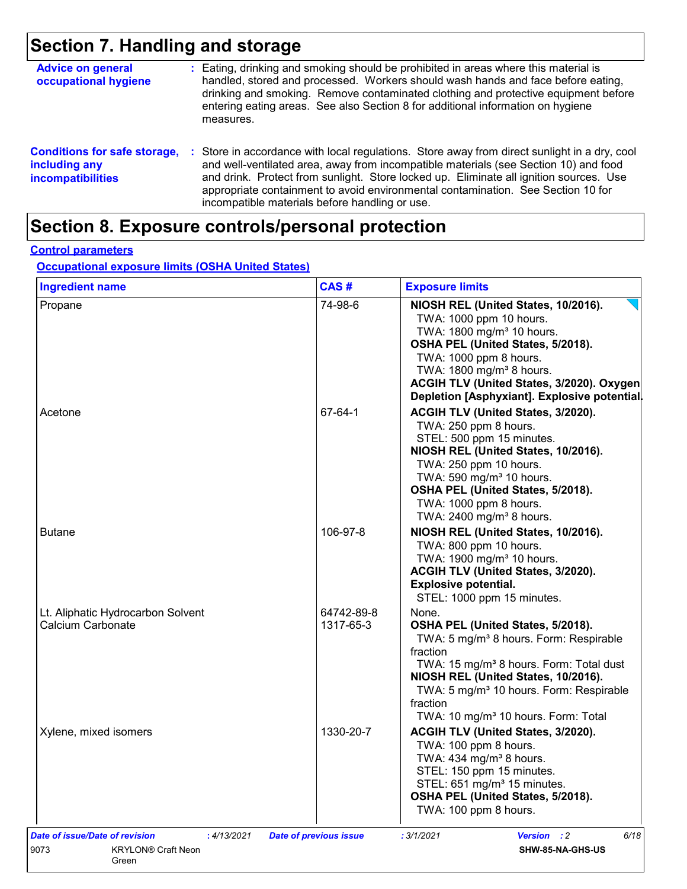## **Section 7. Handling and storage**

| <b>Advice on general</b><br>occupational hygiene                                 | : Eating, drinking and smoking should be prohibited in areas where this material is<br>handled, stored and processed. Workers should wash hands and face before eating,<br>drinking and smoking. Remove contaminated clothing and protective equipment before<br>entering eating areas. See also Section 8 for additional information on hygiene<br>measures.                                                        |
|----------------------------------------------------------------------------------|----------------------------------------------------------------------------------------------------------------------------------------------------------------------------------------------------------------------------------------------------------------------------------------------------------------------------------------------------------------------------------------------------------------------|
| <b>Conditions for safe storage,</b><br>including any<br><b>incompatibilities</b> | : Store in accordance with local regulations. Store away from direct sunlight in a dry, cool<br>and well-ventilated area, away from incompatible materials (see Section 10) and food<br>and drink. Protect from sunlight. Store locked up. Eliminate all ignition sources. Use<br>appropriate containment to avoid environmental contamination. See Section 10 for<br>incompatible materials before handling or use. |

# **Section 8. Exposure controls/personal protection**

#### **Control parameters**

#### **Occupational exposure limits (OSHA United States)**

| <b>Ingredient name</b>                                 | CAS#                          | <b>Exposure limits</b>                                                                                                                                                                                                                                                                                                           |
|--------------------------------------------------------|-------------------------------|----------------------------------------------------------------------------------------------------------------------------------------------------------------------------------------------------------------------------------------------------------------------------------------------------------------------------------|
| Propane                                                | 74-98-6                       | NIOSH REL (United States, 10/2016).<br>TWA: 1000 ppm 10 hours.<br>TWA: 1800 mg/m <sup>3</sup> 10 hours.<br>OSHA PEL (United States, 5/2018).<br>TWA: 1000 ppm 8 hours.<br>TWA: 1800 mg/m <sup>3</sup> 8 hours.<br>ACGIH TLV (United States, 3/2020). Oxygen<br>Depletion [Asphyxiant]. Explosive potential.                      |
| Acetone                                                | 67-64-1                       | ACGIH TLV (United States, 3/2020).<br>TWA: 250 ppm 8 hours.<br>STEL: 500 ppm 15 minutes.<br>NIOSH REL (United States, 10/2016).<br>TWA: 250 ppm 10 hours.<br>TWA: 590 mg/m <sup>3</sup> 10 hours.<br>OSHA PEL (United States, 5/2018).<br>TWA: 1000 ppm 8 hours.<br>TWA: 2400 mg/m <sup>3</sup> 8 hours.                         |
| <b>Butane</b>                                          | 106-97-8                      | NIOSH REL (United States, 10/2016).<br>TWA: 800 ppm 10 hours.<br>TWA: 1900 mg/m <sup>3</sup> 10 hours.<br>ACGIH TLV (United States, 3/2020).<br><b>Explosive potential.</b><br>STEL: 1000 ppm 15 minutes.                                                                                                                        |
| Lt. Aliphatic Hydrocarbon Solvent<br>Calcium Carbonate | 64742-89-8<br>1317-65-3       | None.<br>OSHA PEL (United States, 5/2018).<br>TWA: 5 mg/m <sup>3</sup> 8 hours. Form: Respirable<br>fraction<br>TWA: 15 mg/m <sup>3</sup> 8 hours. Form: Total dust<br>NIOSH REL (United States, 10/2016).<br>TWA: 5 mg/m <sup>3</sup> 10 hours. Form: Respirable<br>fraction<br>TWA: 10 mg/m <sup>3</sup> 10 hours. Form: Total |
| Xylene, mixed isomers                                  | 1330-20-7                     | ACGIH TLV (United States, 3/2020).<br>TWA: 100 ppm 8 hours.<br>TWA: 434 mg/m <sup>3</sup> 8 hours.<br>STEL: 150 ppm 15 minutes.<br>STEL: 651 mg/m <sup>3</sup> 15 minutes.<br>OSHA PEL (United States, 5/2018).<br>TWA: 100 ppm 8 hours.                                                                                         |
| Date of issue/Date of revision<br>: 4/13/2021          | <b>Date of previous issue</b> | Version : 2<br>: 3/1/2021<br>6/18                                                                                                                                                                                                                                                                                                |
| 9073<br><b>KRYLON® Craft Neon</b><br>Green             |                               | SHW-85-NA-GHS-US                                                                                                                                                                                                                                                                                                                 |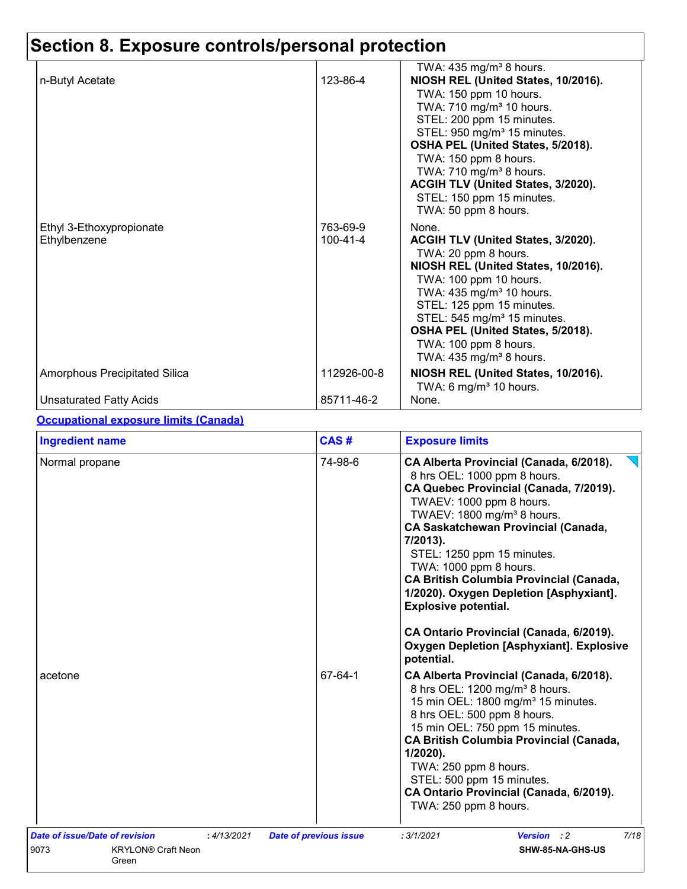|                               |                | TWA: $435 \text{ mg/m}^3$ 8 hours.                          |
|-------------------------------|----------------|-------------------------------------------------------------|
| n-Butyl Acetate               | 123-86-4       | NIOSH REL (United States, 10/2016).                         |
|                               |                | TWA: 150 ppm 10 hours.                                      |
|                               |                | TWA: 710 mg/m <sup>3</sup> 10 hours.                        |
|                               |                | STEL: 200 ppm 15 minutes.                                   |
|                               |                | STEL: 950 mg/m <sup>3</sup> 15 minutes.                     |
|                               |                | OSHA PEL (United States, 5/2018).                           |
|                               |                | TWA: 150 ppm 8 hours.                                       |
|                               |                | TWA: 710 mg/m <sup>3</sup> 8 hours.                         |
|                               |                | ACGIH TLV (United States, 3/2020).                          |
|                               |                | STEL: 150 ppm 15 minutes.<br>TWA: 50 ppm 8 hours.           |
|                               |                |                                                             |
| Ethyl 3-Ethoxypropionate      | 763-69-9       | None.                                                       |
| Ethylbenzene                  | $100 - 41 - 4$ | ACGIH TLV (United States, 3/2020).                          |
|                               |                | TWA: 20 ppm 8 hours.<br>NIOSH REL (United States, 10/2016). |
|                               |                | TWA: 100 ppm 10 hours.                                      |
|                               |                | TWA: 435 mg/m <sup>3</sup> 10 hours.                        |
|                               |                | STEL: 125 ppm 15 minutes.                                   |
|                               |                | STEL: 545 mg/m <sup>3</sup> 15 minutes.                     |
|                               |                | OSHA PEL (United States, 5/2018).                           |
|                               |                | TWA: 100 ppm 8 hours.                                       |
|                               |                | TWA: $435 \text{ mg/m}^3$ 8 hours.                          |
| Amorphous Precipitated Silica | 112926-00-8    | NIOSH REL (United States, 10/2016).                         |
|                               |                | TWA: 6 mg/m $3$ 10 hours.                                   |
| Unsaturated Fatty Acids       | 85711-46-2     | None.                                                       |

#### **Occupational exposure limits (Canada)**

| <b>Ingredient name</b>                        | CAS#                          | <b>Exposure limits</b>                                                                                                                                                                                                                                                                                                                                                                                                                                                           |
|-----------------------------------------------|-------------------------------|----------------------------------------------------------------------------------------------------------------------------------------------------------------------------------------------------------------------------------------------------------------------------------------------------------------------------------------------------------------------------------------------------------------------------------------------------------------------------------|
| Normal propane                                | 74-98-6                       | CA Alberta Provincial (Canada, 6/2018).<br>8 hrs OEL: 1000 ppm 8 hours.<br>CA Quebec Provincial (Canada, 7/2019).<br>TWAEV: 1000 ppm 8 hours.<br>TWAEV: 1800 mg/m <sup>3</sup> 8 hours.<br><b>CA Saskatchewan Provincial (Canada,</b><br>7/2013).<br>STEL: 1250 ppm 15 minutes.<br>TWA: 1000 ppm 8 hours.<br><b>CA British Columbia Provincial (Canada,</b><br>1/2020). Oxygen Depletion [Asphyxiant].<br><b>Explosive potential.</b><br>CA Ontario Provincial (Canada, 6/2019). |
|                                               |                               | <b>Oxygen Depletion [Asphyxiant]. Explosive</b><br>potential.                                                                                                                                                                                                                                                                                                                                                                                                                    |
| acetone                                       | 67-64-1                       | CA Alberta Provincial (Canada, 6/2018).<br>8 hrs OEL: 1200 mg/m <sup>3</sup> 8 hours.<br>15 min OEL: 1800 mg/m <sup>3</sup> 15 minutes.<br>8 hrs OEL: 500 ppm 8 hours.<br>15 min OEL: 750 ppm 15 minutes.<br><b>CA British Columbia Provincial (Canada,</b><br>$1/2020$ ).<br>TWA: 250 ppm 8 hours.<br>STEL: 500 ppm 15 minutes.<br>CA Ontario Provincial (Canada, 6/2019).<br>TWA: 250 ppm 8 hours.                                                                             |
| Date of issue/Date of revision<br>: 4/13/2021 | <b>Date of previous issue</b> | 7/18<br><b>Version</b> : 2<br>: 3/1/2021                                                                                                                                                                                                                                                                                                                                                                                                                                         |
| 9073<br><b>KRYLON® Craft Neon</b><br>Green    |                               | SHW-85-NA-GHS-US                                                                                                                                                                                                                                                                                                                                                                                                                                                                 |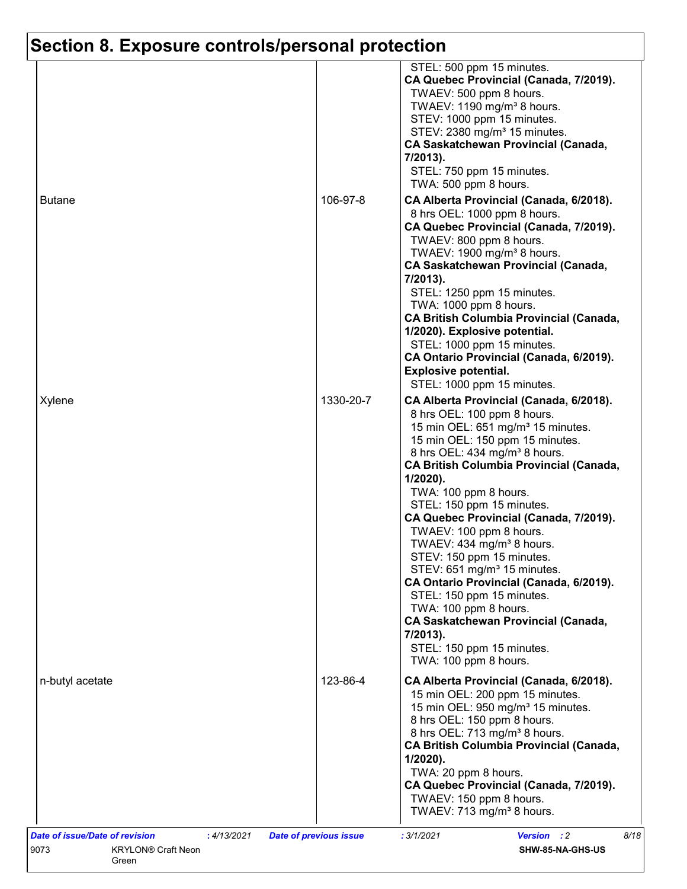|                 |           | STEL: 500 ppm 15 minutes.<br>CA Quebec Provincial (Canada, 7/2019).<br>TWAEV: 500 ppm 8 hours.<br>TWAEV: 1190 mg/m <sup>3</sup> 8 hours.<br>STEV: 1000 ppm 15 minutes.<br>STEV: 2380 mg/m <sup>3</sup> 15 minutes.<br><b>CA Saskatchewan Provincial (Canada,</b><br>7/2013).<br>STEL: 750 ppm 15 minutes.<br>TWA: 500 ppm 8 hours.                                                                                                                                                                                                                                                                                                                                                                                                    |
|-----------------|-----------|---------------------------------------------------------------------------------------------------------------------------------------------------------------------------------------------------------------------------------------------------------------------------------------------------------------------------------------------------------------------------------------------------------------------------------------------------------------------------------------------------------------------------------------------------------------------------------------------------------------------------------------------------------------------------------------------------------------------------------------|
| <b>Butane</b>   | 106-97-8  | CA Alberta Provincial (Canada, 6/2018).<br>8 hrs OEL: 1000 ppm 8 hours.<br>CA Quebec Provincial (Canada, 7/2019).<br>TWAEV: 800 ppm 8 hours.<br>TWAEV: 1900 mg/m <sup>3</sup> 8 hours.<br><b>CA Saskatchewan Provincial (Canada,</b><br>7/2013).<br>STEL: 1250 ppm 15 minutes.<br>TWA: 1000 ppm 8 hours.<br><b>CA British Columbia Provincial (Canada,</b><br>1/2020). Explosive potential.<br>STEL: 1000 ppm 15 minutes.<br>CA Ontario Provincial (Canada, 6/2019).<br><b>Explosive potential.</b><br>STEL: 1000 ppm 15 minutes.                                                                                                                                                                                                     |
| Xylene          | 1330-20-7 | CA Alberta Provincial (Canada, 6/2018).<br>8 hrs OEL: 100 ppm 8 hours.<br>15 min OEL: 651 mg/m <sup>3</sup> 15 minutes.<br>15 min OEL: 150 ppm 15 minutes.<br>8 hrs OEL: 434 mg/m <sup>3</sup> 8 hours.<br><b>CA British Columbia Provincial (Canada,</b><br>$1/2020$ ).<br>TWA: 100 ppm 8 hours.<br>STEL: 150 ppm 15 minutes.<br>CA Quebec Provincial (Canada, 7/2019).<br>TWAEV: 100 ppm 8 hours.<br>TWAEV: 434 mg/m <sup>3</sup> 8 hours.<br>STEV: 150 ppm 15 minutes.<br>STEV: 651 mg/m <sup>3</sup> 15 minutes.<br>CA Ontario Provincial (Canada, 6/2019).<br>STEL: 150 ppm 15 minutes.<br>TWA: 100 ppm 8 hours.<br><b>CA Saskatchewan Provincial (Canada,</b><br>7/2013).<br>STEL: 150 ppm 15 minutes.<br>TWA: 100 ppm 8 hours. |
| n-butyl acetate | 123-86-4  | CA Alberta Provincial (Canada, 6/2018).<br>15 min OEL: 200 ppm 15 minutes.<br>15 min OEL: 950 mg/m <sup>3</sup> 15 minutes.<br>8 hrs OEL: 150 ppm 8 hours.<br>8 hrs OEL: 713 mg/m <sup>3</sup> 8 hours.<br><b>CA British Columbia Provincial (Canada,</b><br>$1/2020$ ).<br>TWA: 20 ppm 8 hours.<br>CA Quebec Provincial (Canada, 7/2019).<br>TWAEV: 150 ppm 8 hours.                                                                                                                                                                                                                                                                                                                                                                 |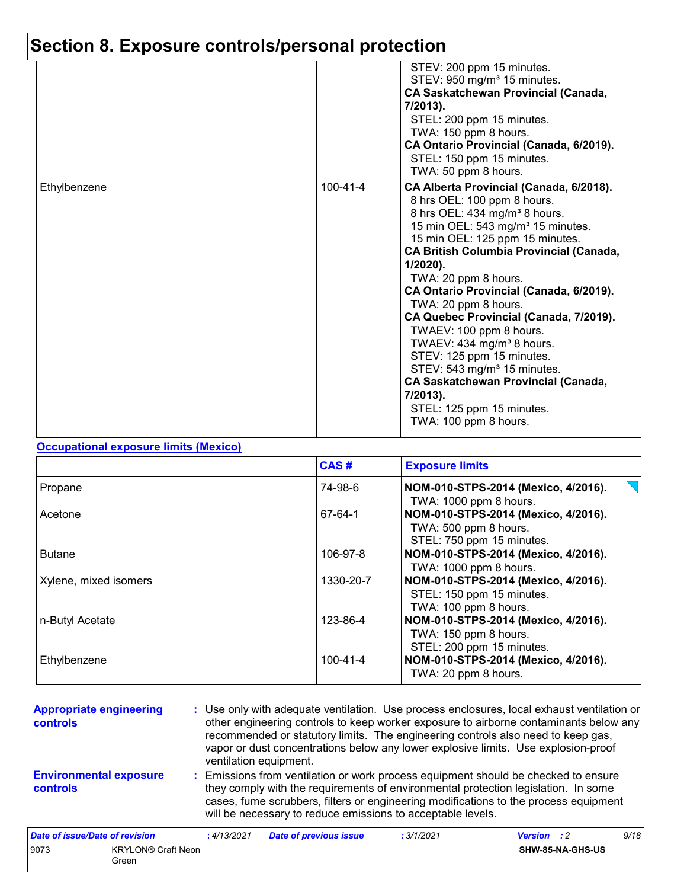|              |                | STEV: 200 ppm 15 minutes.<br>STEV: 950 mg/m <sup>3</sup> 15 minutes.<br><b>CA Saskatchewan Provincial (Canada,</b><br>$7/2013$ ).<br>STEL: 200 ppm 15 minutes.<br>TWA: 150 ppm 8 hours.<br>CA Ontario Provincial (Canada, 6/2019).<br>STEL: 150 ppm 15 minutes.                                                                                                                                                                                                                                                                                                                                                                                                                                   |
|--------------|----------------|---------------------------------------------------------------------------------------------------------------------------------------------------------------------------------------------------------------------------------------------------------------------------------------------------------------------------------------------------------------------------------------------------------------------------------------------------------------------------------------------------------------------------------------------------------------------------------------------------------------------------------------------------------------------------------------------------|
| Ethylbenzene | $100 - 41 - 4$ | TWA: 50 ppm 8 hours.<br>CA Alberta Provincial (Canada, 6/2018).<br>8 hrs OEL: 100 ppm 8 hours.<br>8 hrs OEL: 434 mg/m <sup>3</sup> 8 hours.<br>15 min OEL: 543 mg/m <sup>3</sup> 15 minutes.<br>15 min OEL: 125 ppm 15 minutes.<br><b>CA British Columbia Provincial (Canada,</b><br>$1/2020$ ).<br>TWA: 20 ppm 8 hours.<br>CA Ontario Provincial (Canada, 6/2019).<br>TWA: 20 ppm 8 hours.<br>CA Quebec Provincial (Canada, 7/2019).<br>TWAEV: 100 ppm 8 hours.<br>TWAEV: 434 mg/m <sup>3</sup> 8 hours.<br>STEV: 125 ppm 15 minutes.<br>STEV: 543 mg/m <sup>3</sup> 15 minutes.<br><b>CA Saskatchewan Provincial (Canada,</b><br>7/2013).<br>STEL: 125 ppm 15 minutes.<br>TWA: 100 ppm 8 hours. |

#### **Occupational exposure limits (Mexico)**

Green

|                       | CAS#           | <b>Exposure limits</b>              |
|-----------------------|----------------|-------------------------------------|
| Propane               | 74-98-6        | NOM-010-STPS-2014 (Mexico, 4/2016). |
|                       |                | TWA: 1000 ppm 8 hours.              |
| Acetone               | 67-64-1        | NOM-010-STPS-2014 (Mexico, 4/2016). |
|                       |                | TWA: 500 ppm 8 hours.               |
|                       |                | STEL: 750 ppm 15 minutes.           |
| <b>Butane</b>         | 106-97-8       | NOM-010-STPS-2014 (Mexico, 4/2016). |
|                       |                | TWA: 1000 ppm 8 hours.              |
| Xylene, mixed isomers | 1330-20-7      | NOM-010-STPS-2014 (Mexico, 4/2016). |
|                       |                | STEL: 150 ppm 15 minutes.           |
|                       |                | TWA: 100 ppm 8 hours.               |
| n-Butyl Acetate       | 123-86-4       | NOM-010-STPS-2014 (Mexico, 4/2016). |
|                       |                | TWA: 150 ppm 8 hours.               |
|                       |                | STEL: 200 ppm 15 minutes.           |
| Ethylbenzene          | $100 - 41 - 4$ | NOM-010-STPS-2014 (Mexico, 4/2016). |
|                       |                | TWA: 20 ppm 8 hours.                |

| <b>Appropriate engineering</b><br><b>controls</b> |                           | : Use only with adequate ventilation. Use process enclosures, local exhaust ventilation or<br>other engineering controls to keep worker exposure to airborne contaminants below any<br>recommended or statutory limits. The engineering controls also need to keep gas,<br>vapor or dust concentrations below any lower explosive limits. Use explosion-proof<br>ventilation equipment. |                               |                                                                                                                                                                                                                                                                                                                                 |                    |                  |      |
|---------------------------------------------------|---------------------------|-----------------------------------------------------------------------------------------------------------------------------------------------------------------------------------------------------------------------------------------------------------------------------------------------------------------------------------------------------------------------------------------|-------------------------------|---------------------------------------------------------------------------------------------------------------------------------------------------------------------------------------------------------------------------------------------------------------------------------------------------------------------------------|--------------------|------------------|------|
| <b>Environmental exposure</b><br><b>controls</b>  |                           |                                                                                                                                                                                                                                                                                                                                                                                         |                               | : Emissions from ventilation or work process equipment should be checked to ensure<br>they comply with the requirements of environmental protection legislation. In some<br>cases, fume scrubbers, filters or engineering modifications to the process equipment<br>will be necessary to reduce emissions to acceptable levels. |                    |                  |      |
| <b>Date of issue/Date of revision</b>             |                           | : 4/13/2021                                                                                                                                                                                                                                                                                                                                                                             | <b>Date of previous issue</b> | : 3/1/2021                                                                                                                                                                                                                                                                                                                      | <b>Version</b> : 2 |                  | 9/18 |
| 9073                                              | <b>KRYLON® Craft Neon</b> |                                                                                                                                                                                                                                                                                                                                                                                         |                               |                                                                                                                                                                                                                                                                                                                                 |                    | SHW-85-NA-GHS-US |      |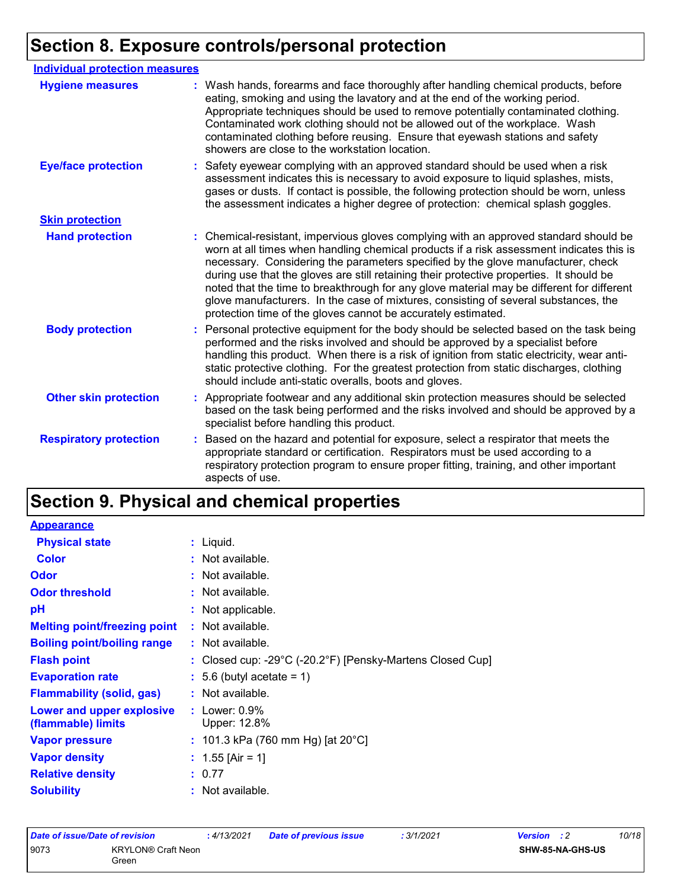| <b>Individual protection measures</b> |                                                                                                                                                                                                                                                                                                                                                                                                                                                                                                                                                                                                                        |
|---------------------------------------|------------------------------------------------------------------------------------------------------------------------------------------------------------------------------------------------------------------------------------------------------------------------------------------------------------------------------------------------------------------------------------------------------------------------------------------------------------------------------------------------------------------------------------------------------------------------------------------------------------------------|
| <b>Hygiene measures</b>               | : Wash hands, forearms and face thoroughly after handling chemical products, before<br>eating, smoking and using the lavatory and at the end of the working period.<br>Appropriate techniques should be used to remove potentially contaminated clothing.<br>Contaminated work clothing should not be allowed out of the workplace. Wash<br>contaminated clothing before reusing. Ensure that eyewash stations and safety<br>showers are close to the workstation location.                                                                                                                                            |
| <b>Eye/face protection</b>            | : Safety eyewear complying with an approved standard should be used when a risk<br>assessment indicates this is necessary to avoid exposure to liquid splashes, mists,<br>gases or dusts. If contact is possible, the following protection should be worn, unless<br>the assessment indicates a higher degree of protection: chemical splash goggles.                                                                                                                                                                                                                                                                  |
| <b>Skin protection</b>                |                                                                                                                                                                                                                                                                                                                                                                                                                                                                                                                                                                                                                        |
| <b>Hand protection</b>                | : Chemical-resistant, impervious gloves complying with an approved standard should be<br>worn at all times when handling chemical products if a risk assessment indicates this is<br>necessary. Considering the parameters specified by the glove manufacturer, check<br>during use that the gloves are still retaining their protective properties. It should be<br>noted that the time to breakthrough for any glove material may be different for different<br>glove manufacturers. In the case of mixtures, consisting of several substances, the<br>protection time of the gloves cannot be accurately estimated. |
| <b>Body protection</b>                | : Personal protective equipment for the body should be selected based on the task being<br>performed and the risks involved and should be approved by a specialist before<br>handling this product. When there is a risk of ignition from static electricity, wear anti-<br>static protective clothing. For the greatest protection from static discharges, clothing<br>should include anti-static overalls, boots and gloves.                                                                                                                                                                                         |
| <b>Other skin protection</b>          | : Appropriate footwear and any additional skin protection measures should be selected<br>based on the task being performed and the risks involved and should be approved by a<br>specialist before handling this product.                                                                                                                                                                                                                                                                                                                                                                                              |
| <b>Respiratory protection</b>         | Based on the hazard and potential for exposure, select a respirator that meets the<br>÷.<br>appropriate standard or certification. Respirators must be used according to a<br>respiratory protection program to ensure proper fitting, training, and other important<br>aspects of use.                                                                                                                                                                                                                                                                                                                                |

# **Section 9. Physical and chemical properties**

| : Liquid.                                                                       |
|---------------------------------------------------------------------------------|
| : Not available.                                                                |
| : Not available.                                                                |
| $\cdot$ Not available.                                                          |
| : Not applicable.                                                               |
| $:$ Not available.                                                              |
| $:$ Not available.                                                              |
| : Closed cup: -29 $^{\circ}$ C (-20.2 $^{\circ}$ F) [Pensky-Martens Closed Cup] |
| $: 5.6$ (butyl acetate = 1)                                                     |
| : Not available.                                                                |
| : Lower: $0.9\%$<br>Upper: 12.8%                                                |
| : 101.3 kPa (760 mm Hg) [at 20 $^{\circ}$ C]                                    |
| : $1.55$ [Air = 1]                                                              |
| : 0.77                                                                          |
| : Not available.                                                                |
| <b>Melting point/freezing point</b>                                             |

| Date of issue/Date of revision |                                    | 4/13/2021 | <b>Date of previous issue</b> | : 3/1/2021 | <b>Version</b> : 2 |                  | 10/18 |
|--------------------------------|------------------------------------|-----------|-------------------------------|------------|--------------------|------------------|-------|
| 9073                           | <b>KRYLON® Craft Neon</b><br>Green |           |                               |            |                    | SHW-85-NA-GHS-US |       |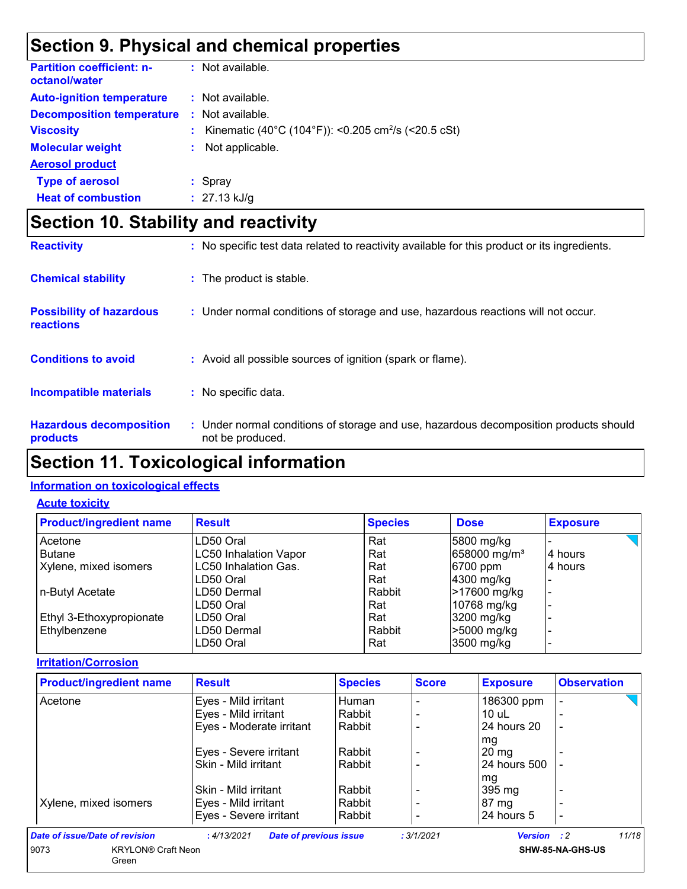## **Section 9. Physical and chemical properties**

| <b>Partition coefficient: n-</b><br>octanol/water |    | $:$ Not available.                                              |
|---------------------------------------------------|----|-----------------------------------------------------------------|
| <b>Auto-ignition temperature</b>                  |    | : Not available.                                                |
| <b>Decomposition temperature</b>                  |    | $:$ Not available.                                              |
| <b>Viscosity</b>                                  | ÷. | Kinematic (40°C (104°F)): <0.205 cm <sup>2</sup> /s (<20.5 cSt) |
| <b>Molecular weight</b>                           | ÷. | Not applicable.                                                 |
| <b>Aerosol product</b>                            |    |                                                                 |
| <b>Type of aerosol</b>                            |    | $:$ Spray                                                       |
| <b>Heat of combustion</b>                         |    | $: 27.13$ kJ/g                                                  |

# **Section 10. Stability and reactivity**

| <b>Reactivity</b>                            | : No specific test data related to reactivity available for this product or its ingredients.              |
|----------------------------------------------|-----------------------------------------------------------------------------------------------------------|
| <b>Chemical stability</b>                    | : The product is stable.                                                                                  |
| <b>Possibility of hazardous</b><br>reactions | : Under normal conditions of storage and use, hazardous reactions will not occur.                         |
| <b>Conditions to avoid</b>                   | : Avoid all possible sources of ignition (spark or flame).                                                |
| <b>Incompatible materials</b>                | : No specific data.                                                                                       |
| <b>Hazardous decomposition</b><br>products   | : Under normal conditions of storage and use, hazardous decomposition products should<br>not be produced. |

### **Section 11. Toxicological information**

#### **Information on toxicological effects**

#### **Acute toxicity**

| <b>Product/ingredient name</b> | <b>Result</b>                | <b>Species</b> | <b>Dose</b>              | <b>Exposure</b> |
|--------------------------------|------------------------------|----------------|--------------------------|-----------------|
| Acetone                        | LD50 Oral                    | Rat            | 5800 mg/kg               |                 |
| <b>Butane</b>                  | <b>LC50 Inhalation Vapor</b> | Rat            | 658000 mg/m <sup>3</sup> | 4 hours         |
| Xylene, mixed isomers          | LC50 Inhalation Gas.         | Rat            | 6700 ppm                 | 4 hours         |
|                                | LD50 Oral                    | Rat            | 4300 mg/kg               |                 |
| n-Butyl Acetate                | ILD50 Dermal                 | Rabbit         | >17600 mg/kg             |                 |
|                                | LD50 Oral                    | Rat            | 10768 mg/kg              |                 |
| Ethyl 3-Ethoxypropionate       | LD50 Oral                    | Rat            | 3200 mg/kg               |                 |
| Ethylbenzene                   | LD50 Dermal                  | Rabbit         | >5000 mg/kg              |                 |
|                                | LD50 Oral                    | Rat            | 3500 mg/kg               |                 |

#### **Irritation/Corrosion**

| <b>Product/ingredient name</b> | <b>Result</b>            | <b>Species</b> | <b>Score</b> | <b>Exposure</b> | <b>Observation</b> |
|--------------------------------|--------------------------|----------------|--------------|-----------------|--------------------|
| Acetone                        | Eyes - Mild irritant     | Human          |              | 186300 ppm      |                    |
|                                | Eyes - Mild irritant     | Rabbit         |              | 10 uL           |                    |
|                                | Eyes - Moderate irritant | Rabbit         |              | 24 hours 20     |                    |
|                                |                          |                |              | mg              |                    |
|                                | Eyes - Severe irritant   | Rabbit         |              | $20 \text{ mg}$ |                    |
|                                | Skin - Mild irritant     | Rabbit         |              | 24 hours 500    |                    |
|                                |                          |                |              | mg              |                    |
|                                | Skin - Mild irritant     | Rabbit         |              | 395 mg          |                    |
| Xylene, mixed isomers          | Eyes - Mild irritant     | Rabbit         |              | $87 \text{ mg}$ |                    |
|                                | Eyes - Severe irritant   | Rabbit         |              | 24 hours 5      |                    |

**SHW-85-NA-GHS-US**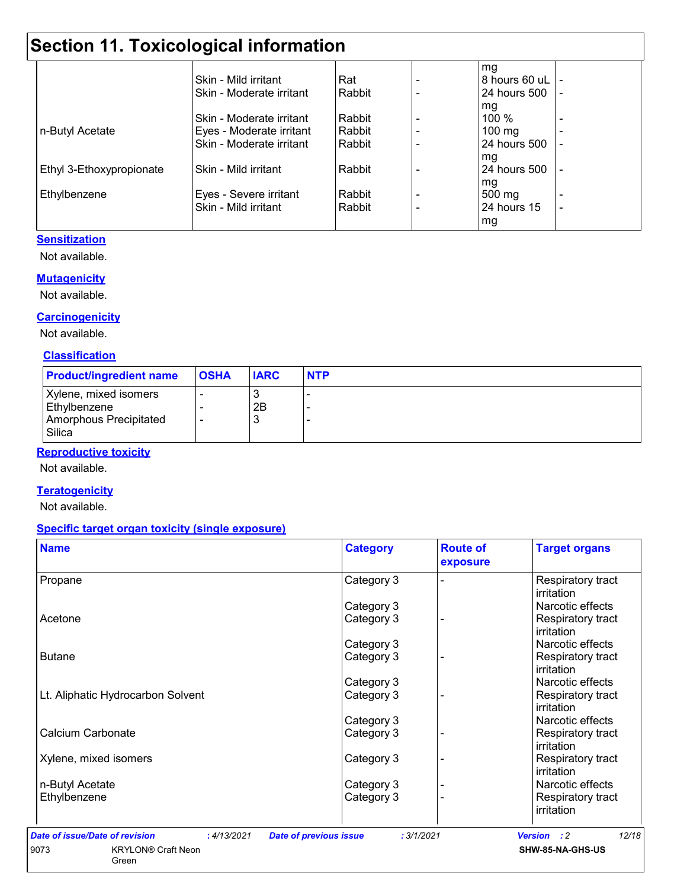## **Section 11. Toxicological information**

|                          |                          |          | mg               |                          |
|--------------------------|--------------------------|----------|------------------|--------------------------|
|                          | Skin - Mild irritant     | Rat      | 8 hours 60 uL    |                          |
|                          | Skin - Moderate irritant | Rabbit   | 24 hours 500     |                          |
|                          |                          |          | mg               |                          |
|                          | Skin - Moderate irritant | Rabbit   | 100 %            |                          |
| n-Butyl Acetate          | Eyes - Moderate irritant | Rabbit   | $100 \text{ mg}$ |                          |
|                          | Skin - Moderate irritant | Rabbit   | 24 hours 500     |                          |
|                          |                          |          | mg               |                          |
| Ethyl 3-Ethoxypropionate | Skin - Mild irritant     | l Rabbit | 24 hours 500     |                          |
|                          |                          |          | mg               |                          |
| Ethylbenzene             | Eyes - Severe irritant   | Rabbit   | 500 mg           |                          |
|                          | Skin - Mild irritant     | Rabbit   | 24 hours 15      | $\overline{\phantom{a}}$ |
|                          |                          |          | mg               |                          |

#### **Sensitization**

Not available.

#### **Mutagenicity**

Not available.

#### **Carcinogenicity**

Not available.

#### **Classification**

| <b>Product/ingredient name</b>                                            | <b>OSHA</b> | <b>IARC</b>   | <b>NTP</b> |
|---------------------------------------------------------------------------|-------------|---------------|------------|
| Xylene, mixed isomers<br>Ethylbenzene<br>Amorphous Precipitated<br>Silica |             | w<br>2Β<br>×. |            |

#### **Reproductive toxicity**

Not available.

#### **Teratogenicity**

Not available.

#### **Specific target organ toxicity (single exposure)**

| <b>Name</b>                       | <b>Category</b> | <b>Route of</b><br>exposure | <b>Target organs</b>                   |
|-----------------------------------|-----------------|-----------------------------|----------------------------------------|
| Propane                           | Category 3      |                             | Respiratory tract<br>irritation        |
|                                   | Category 3      |                             | Narcotic effects                       |
| Acetone                           | Category 3      |                             | <b>Respiratory tract</b><br>irritation |
|                                   | Category 3      |                             | Narcotic effects                       |
| <b>Butane</b>                     | Category 3      |                             | Respiratory tract<br>irritation        |
|                                   | Category 3      |                             | Narcotic effects                       |
| Lt. Aliphatic Hydrocarbon Solvent | Category 3      |                             | Respiratory tract<br>irritation        |
|                                   | Category 3      |                             | Narcotic effects                       |
| Calcium Carbonate                 | Category 3      |                             | Respiratory tract<br>irritation        |
| Xylene, mixed isomers             | Category 3      |                             | <b>Respiratory tract</b><br>irritation |
| n-Butyl Acetate                   | Category 3      |                             | Narcotic effects                       |
| Ethylbenzene                      | Category 3      |                             | Respiratory tract<br>irritation        |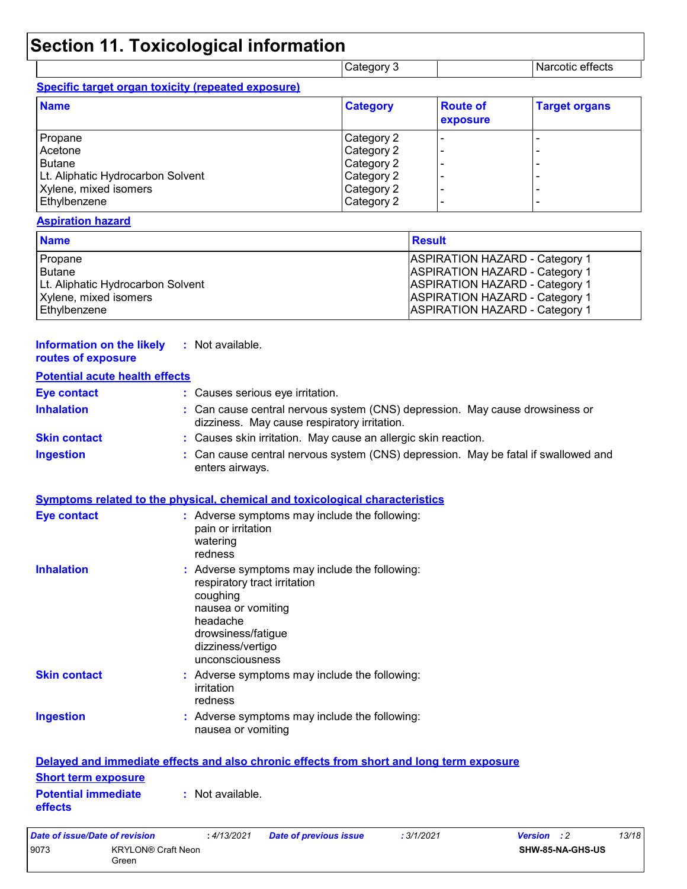## **Section 11. Toxicological information**

| <b>ICategory 3</b> | Narcotic effects |  |
|--------------------|------------------|--|
|                    |                  |  |

|  |  | Specific target organ toxicity (repeated exposure) |
|--|--|----------------------------------------------------|
|  |  |                                                    |

**Information on the likely :** Not available.

Green

| <b>Name</b>                       | <b>Category</b> | <b>Route of</b><br>exposure | <b>Target organs</b> |
|-----------------------------------|-----------------|-----------------------------|----------------------|
| Propane                           | Category 2      |                             |                      |
| Acetone                           | Category 2      |                             |                      |
| <b>Butane</b>                     | Category 2      |                             |                      |
| Lt. Aliphatic Hydrocarbon Solvent | Category 2      |                             |                      |
| Xylene, mixed isomers             | Category 2      |                             | -                    |
| Ethylbenzene                      | Category 2      |                             | -                    |

#### **Aspiration hazard**

| <b>Name</b>                       | <b>Result</b>                         |
|-----------------------------------|---------------------------------------|
| Propane                           | <b>ASPIRATION HAZARD - Category 1</b> |
| <b>Butane</b>                     | <b>ASPIRATION HAZARD - Category 1</b> |
| Lt. Aliphatic Hydrocarbon Solvent | <b>ASPIRATION HAZARD - Category 1</b> |
| Xylene, mixed isomers             | <b>ASPIRATION HAZARD - Category 1</b> |
| Ethylbenzene                      | <b>ASPIRATION HAZARD - Category 1</b> |

| routes of exposure                    |                                                                                                                                                                                           |
|---------------------------------------|-------------------------------------------------------------------------------------------------------------------------------------------------------------------------------------------|
| <b>Potential acute health effects</b> |                                                                                                                                                                                           |
| <b>Eye contact</b>                    | : Causes serious eye irritation.                                                                                                                                                          |
| <b>Inhalation</b>                     | : Can cause central nervous system (CNS) depression. May cause drowsiness or<br>dizziness. May cause respiratory irritation.                                                              |
| <b>Skin contact</b>                   | : Causes skin irritation. May cause an allergic skin reaction.                                                                                                                            |
| <b>Ingestion</b>                      | : Can cause central nervous system (CNS) depression. May be fatal if swallowed and<br>enters airways.                                                                                     |
|                                       | <b>Symptoms related to the physical, chemical and toxicological characteristics</b>                                                                                                       |
| <b>Eye contact</b>                    | : Adverse symptoms may include the following:<br>pain or irritation<br>watering<br>redness                                                                                                |
| <b>Inhalation</b>                     | : Adverse symptoms may include the following:<br>respiratory tract irritation<br>coughing<br>nausea or vomiting<br>headache<br>drowsiness/fatigue<br>dizziness/vertigo<br>unconsciousness |
| <b>Skin contact</b>                   | : Adverse symptoms may include the following:<br>irritation<br>redness                                                                                                                    |
| <b>Ingestion</b>                      | : Adverse symptoms may include the following:<br>nausea or vomiting                                                                                                                       |
|                                       | Delayed and immediate effects and also chronic effects from short and long term exposure                                                                                                  |
| <b>Short term exposure</b>            |                                                                                                                                                                                           |
| <b>Potential immediate</b><br>effects | : Not available.                                                                                                                                                                          |
| <b>Date of issue/Date of revision</b> | 13/18<br>:4/13/2021<br>: 3/1/2021<br><b>Date of previous issue</b><br><b>Version</b><br>$\cdot$ :2                                                                                        |
| 9073<br><b>KRYLON® Craft Neon</b>     | SHW-85-NA-GHS-US                                                                                                                                                                          |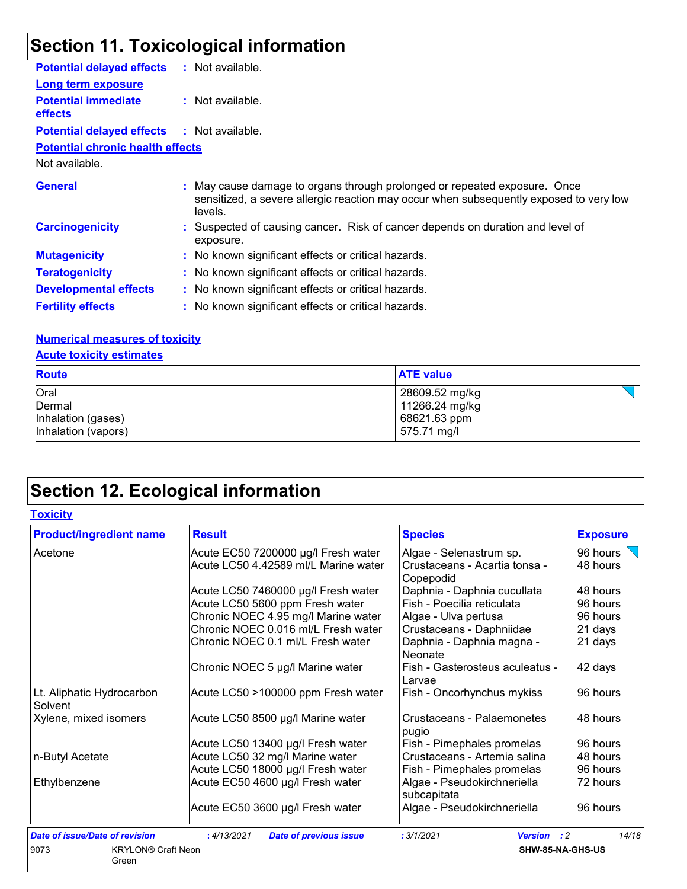# **Section 11. Toxicological information**

| <b>Potential delayed effects</b>             | : Not available.                                                                                                                                                               |
|----------------------------------------------|--------------------------------------------------------------------------------------------------------------------------------------------------------------------------------|
| <b>Long term exposure</b>                    |                                                                                                                                                                                |
| <b>Potential immediate</b><br><b>effects</b> | $:$ Not available.                                                                                                                                                             |
| <b>Potential delayed effects</b>             | : Not available.                                                                                                                                                               |
| <b>Potential chronic health effects</b>      |                                                                                                                                                                                |
| Not available.                               |                                                                                                                                                                                |
| <b>General</b>                               | : May cause damage to organs through prolonged or repeated exposure. Once<br>sensitized, a severe allergic reaction may occur when subsequently exposed to very low<br>levels. |
| <b>Carcinogenicity</b>                       | : Suspected of causing cancer. Risk of cancer depends on duration and level of<br>exposure.                                                                                    |
| <b>Mutagenicity</b>                          | : No known significant effects or critical hazards.                                                                                                                            |
| <b>Teratogenicity</b>                        | : No known significant effects or critical hazards.                                                                                                                            |
| <b>Developmental effects</b>                 | : No known significant effects or critical hazards.                                                                                                                            |
| <b>Fertility effects</b>                     | : No known significant effects or critical hazards.                                                                                                                            |

#### **Numerical measures of toxicity**

|--|

| <b>Route</b>        | <b>ATE value</b> |
|---------------------|------------------|
| Oral                | 28609.52 mg/kg   |
| Dermal              | 11266.24 mg/kg   |
| Inhalation (gases)  | 68621.63 ppm     |
| Inhalation (vapors) | 575.71 mg/l      |

## **Section 12. Ecological information**

| <b>Toxicity</b> |
|-----------------|
|-----------------|

| <b>Product/ingredient name</b>             | <b>Result</b>                                | <b>Species</b>                             | <b>Exposure</b> |
|--------------------------------------------|----------------------------------------------|--------------------------------------------|-----------------|
| Acetone                                    | Acute EC50 7200000 µg/l Fresh water          | Algae - Selenastrum sp.                    | 96 hours        |
|                                            | Acute LC50 4.42589 ml/L Marine water         | Crustaceans - Acartia tonsa -<br>Copepodid | 48 hours        |
|                                            | Acute LC50 7460000 µg/l Fresh water          | Daphnia - Daphnia cucullata                | 48 hours        |
|                                            | Acute LC50 5600 ppm Fresh water              | Fish - Poecilia reticulata                 | 96 hours        |
|                                            | Chronic NOEC 4.95 mg/l Marine water          | Algae - Ulva pertusa                       | 96 hours        |
|                                            | Chronic NOEC 0.016 ml/L Fresh water          | Crustaceans - Daphniidae                   | 21 days         |
|                                            | Chronic NOEC 0.1 ml/L Fresh water            | Daphnia - Daphnia magna -<br>Neonate       | 21 days         |
|                                            | Chronic NOEC 5 µg/l Marine water             | Fish - Gasterosteus aculeatus -<br>Larvae  | 42 days         |
| Lt. Aliphatic Hydrocarbon<br>Solvent       | Acute LC50 >100000 ppm Fresh water           | Fish - Oncorhynchus mykiss                 | 96 hours        |
| Xylene, mixed isomers                      | Acute LC50 8500 µg/l Marine water            | Crustaceans - Palaemonetes<br>pugio        | 48 hours        |
|                                            | Acute LC50 13400 µg/l Fresh water            | Fish - Pimephales promelas                 | 96 hours        |
| n-Butyl Acetate                            | Acute LC50 32 mg/l Marine water              | Crustaceans - Artemia salina               | 48 hours        |
|                                            | Acute LC50 18000 µg/l Fresh water            | Fish - Pimephales promelas                 | 96 hours        |
| Ethylbenzene                               | Acute EC50 4600 µg/l Fresh water             | Algae - Pseudokirchneriella<br>subcapitata | 72 hours        |
|                                            | Acute EC50 3600 µg/l Fresh water             | Algae - Pseudokirchneriella                | 96 hours        |
| <b>Date of issue/Date of revision</b>      | : 4/13/2021<br><b>Date of previous issue</b> | : 3/1/2021<br>Version : 2                  | 14/18           |
| 9073<br><b>KRYLON® Craft Neon</b><br>Green |                                              | SHW-85-NA-GHS-US                           |                 |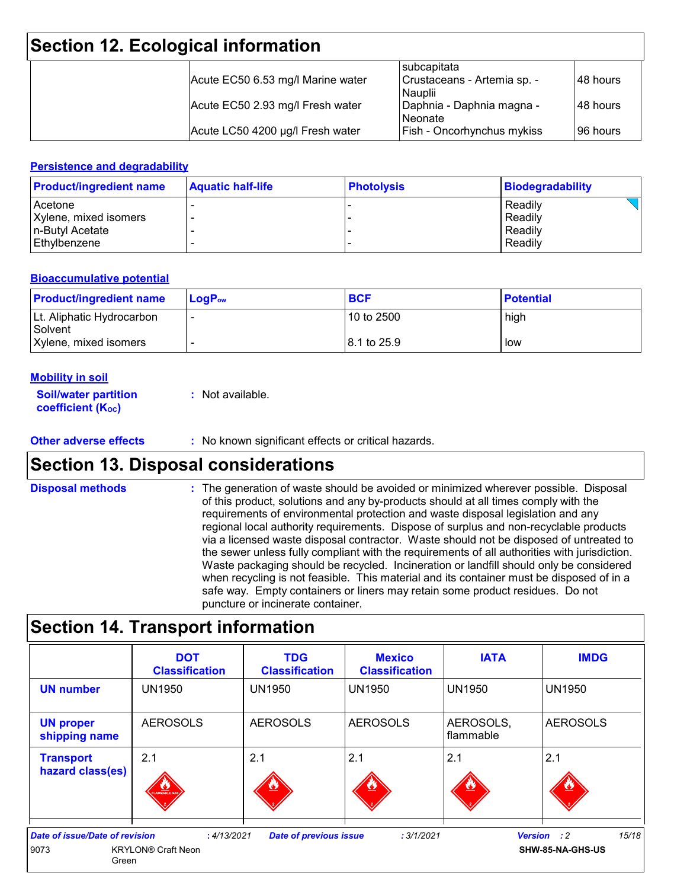## **Section 12. Ecological information**

|                                   | subcapitata                       |           |
|-----------------------------------|-----------------------------------|-----------|
| Acute EC50 6.53 mg/l Marine water | Crustaceans - Artemia sp. -       | 148 hours |
|                                   | <b>Nauplii</b>                    |           |
| Acute EC50 2.93 mg/l Fresh water  | Daphnia - Daphnia magna -         | 148 hours |
|                                   | Neonate                           |           |
| Acute LC50 4200 µg/l Fresh water  | <b>Fish - Oncorhynchus mykiss</b> | 196 hours |

#### **Persistence and degradability**

| <b>Product/ingredient name</b> | <b>Aquatic half-life</b> | <b>Photolysis</b> | <b>Biodegradability</b> |
|--------------------------------|--------------------------|-------------------|-------------------------|
| Acetone                        |                          |                   | Readily                 |
| Xylene, mixed isomers          |                          |                   | Readily                 |
| n-Butyl Acetate                |                          |                   | Readily                 |
| Ethylbenzene                   |                          |                   | Readily                 |

#### **Bioaccumulative potential**

| <b>Product/ingredient name</b>       | $LoaPow$ | <b>BCF</b>   | <b>Potential</b> |
|--------------------------------------|----------|--------------|------------------|
| Lt. Aliphatic Hydrocarbon<br>Solvent |          | l 10 to 2500 | high             |
| Xylene, mixed isomers                |          | 8.1 to 25.9  | low              |

#### **Mobility in soil**

| <b>Soil/water partition</b> | : Not available. |
|-----------------------------|------------------|
| <b>coefficient (Koc)</b>    |                  |

#### **Other adverse effects** : No known significant effects or critical hazards.

### **Section 13. Disposal considerations**

The generation of waste should be avoided or minimized wherever possible. Disposal of this product, solutions and any by-products should at all times comply with the requirements of environmental protection and waste disposal legislation and any regional local authority requirements. Dispose of surplus and non-recyclable products via a licensed waste disposal contractor. Waste should not be disposed of untreated to the sewer unless fully compliant with the requirements of all authorities with jurisdiction. Waste packaging should be recycled. Incineration or landfill should only be considered when recycling is not feasible. This material and its container must be disposed of in a safe way. Empty containers or liners may retain some product residues. Do not puncture or incinerate container. **Disposal methods :**

## **Section 14. Transport information**

|                                                        | <b>DOT</b><br><b>Classification</b>      | <b>TDG</b><br><b>Classification</b> | <b>Mexico</b><br><b>Classification</b> | <b>IATA</b>              | <b>IMDG</b>                                     |
|--------------------------------------------------------|------------------------------------------|-------------------------------------|----------------------------------------|--------------------------|-------------------------------------------------|
| <b>UN number</b>                                       | <b>UN1950</b>                            | <b>UN1950</b>                       | <b>UN1950</b>                          | <b>UN1950</b>            | <b>UN1950</b>                                   |
| <b>UN proper</b><br>shipping name                      | <b>AEROSOLS</b>                          | <b>AEROSOLS</b>                     | <b>AEROSOLS</b>                        | AEROSOLS,<br>  flammable | <b>AEROSOLS</b>                                 |
| <b>Transport</b><br>hazard class(es)                   | 2.1<br>FLAMMABLE GAS                     | 2.1                                 | 2.1                                    | 2.1                      | 2.1                                             |
| <b>Date of issue/Date of revision</b><br>9073<br>Green | : 4/13/2021<br><b>KRYLON® Craft Neon</b> | <b>Date of previous issue</b>       | :3/1/2021                              |                          | 15/18<br><b>Version</b> : 2<br>SHW-85-NA-GHS-US |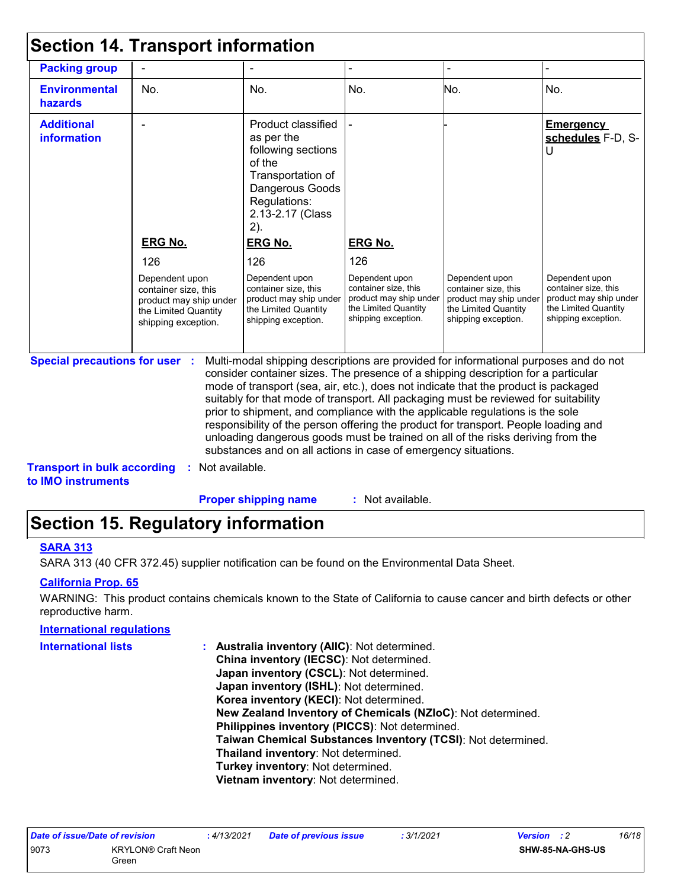| <b>Packing group</b>                    |                                                                                                                 |                                                                                                                                                                                                                                                                                                                                                                                                                                                                                                                                                                                                                   |                                                                                                                 | $\overline{\phantom{0}}$                                                                                        |                                                                                                                 |
|-----------------------------------------|-----------------------------------------------------------------------------------------------------------------|-------------------------------------------------------------------------------------------------------------------------------------------------------------------------------------------------------------------------------------------------------------------------------------------------------------------------------------------------------------------------------------------------------------------------------------------------------------------------------------------------------------------------------------------------------------------------------------------------------------------|-----------------------------------------------------------------------------------------------------------------|-----------------------------------------------------------------------------------------------------------------|-----------------------------------------------------------------------------------------------------------------|
| <b>Environmental</b><br>hazards         | No.                                                                                                             | No.                                                                                                                                                                                                                                                                                                                                                                                                                                                                                                                                                                                                               | No.                                                                                                             | No.                                                                                                             | No.                                                                                                             |
| <b>Additional</b><br><b>information</b> |                                                                                                                 | Product classified<br>as per the<br>following sections<br>of the<br>Transportation of<br>Dangerous Goods<br>Regulations:<br>2.13-2.17 (Class<br>2).                                                                                                                                                                                                                                                                                                                                                                                                                                                               |                                                                                                                 |                                                                                                                 | <b>Emergency</b><br>schedules F-D, S-<br>U                                                                      |
|                                         | <b>ERG No.</b>                                                                                                  | <b>ERG No.</b>                                                                                                                                                                                                                                                                                                                                                                                                                                                                                                                                                                                                    | <b>ERG No.</b>                                                                                                  |                                                                                                                 |                                                                                                                 |
|                                         | 126                                                                                                             | 126                                                                                                                                                                                                                                                                                                                                                                                                                                                                                                                                                                                                               | 126                                                                                                             |                                                                                                                 |                                                                                                                 |
|                                         | Dependent upon<br>container size, this<br>product may ship under<br>the Limited Quantity<br>shipping exception. | Dependent upon<br>container size, this<br>product may ship under<br>the Limited Quantity<br>shipping exception.                                                                                                                                                                                                                                                                                                                                                                                                                                                                                                   | Dependent upon<br>container size, this<br>product may ship under<br>the Limited Quantity<br>shipping exception. | Dependent upon<br>container size, this<br>product may ship under<br>the Limited Quantity<br>shipping exception. | Dependent upon<br>container size, this<br>product may ship under<br>the Limited Quantity<br>shipping exception. |
| <b>Special precautions for user :</b>   |                                                                                                                 | Multi-modal shipping descriptions are provided for informational purposes and do not<br>consider container sizes. The presence of a shipping description for a particular<br>mode of transport (sea, air, etc.), does not indicate that the product is packaged<br>suitably for that mode of transport. All packaging must be reviewed for suitability<br>prior to shipment, and compliance with the applicable regulations is the sole<br>responsibility of the person offering the product for transport. People loading and<br>unloading dangerous goods must be trained on all of the risks deriving from the | substances and on all actions in case of emergency situations.                                                  |                                                                                                                 |                                                                                                                 |

**Proper shipping name :**

: Not available.

## **Section 15. Regulatory information**

#### **SARA 313**

SARA 313 (40 CFR 372.45) supplier notification can be found on the Environmental Data Sheet.

#### **California Prop. 65**

WARNING: This product contains chemicals known to the State of California to cause cancer and birth defects or other reproductive harm.

#### **International regulations**

| <b>INTERNATIONAL REQUIRENTS</b> |                                                              |
|---------------------------------|--------------------------------------------------------------|
| <b>International lists</b>      | : Australia inventory (AIIC): Not determined.                |
|                                 | China inventory (IECSC): Not determined.                     |
|                                 | Japan inventory (CSCL): Not determined.                      |
|                                 | Japan inventory (ISHL): Not determined.                      |
|                                 | Korea inventory (KECI): Not determined.                      |
|                                 | New Zealand Inventory of Chemicals (NZIoC): Not determined.  |
|                                 | Philippines inventory (PICCS): Not determined.               |
|                                 | Taiwan Chemical Substances Inventory (TCSI): Not determined. |
|                                 | Thailand inventory: Not determined.                          |
|                                 | Turkey inventory: Not determined.                            |
|                                 | Vietnam inventory: Not determined.                           |

|      | Date of issue/Date of revision     | : 4/13/2021 | <b>Date of previous issue</b> | 3/1/2021 | <b>Version</b> : 2 | 16/18 |
|------|------------------------------------|-------------|-------------------------------|----------|--------------------|-------|
| 9073 | <b>KRYLON® Craft Neon</b><br>Green |             |                               |          | SHW-85-NA-GHS-US   |       |
|      |                                    |             |                               |          |                    |       |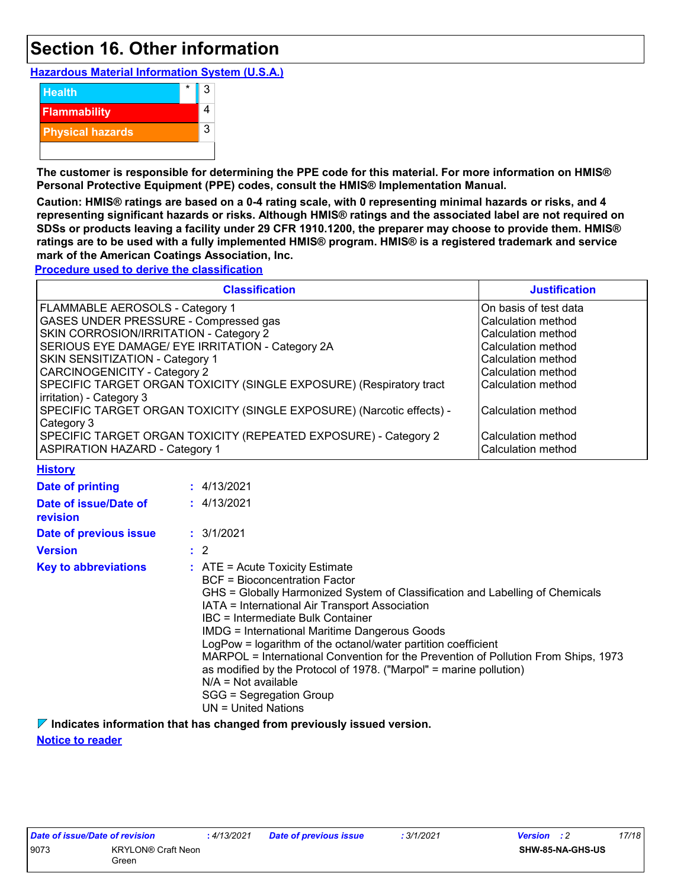### **Section 16. Other information**

**Hazardous Material Information System (U.S.A.)**



**The customer is responsible for determining the PPE code for this material. For more information on HMIS® Personal Protective Equipment (PPE) codes, consult the HMIS® Implementation Manual.**

**Caution: HMIS® ratings are based on a 0-4 rating scale, with 0 representing minimal hazards or risks, and 4 representing significant hazards or risks. Although HMIS® ratings and the associated label are not required on SDSs or products leaving a facility under 29 CFR 1910.1200, the preparer may choose to provide them. HMIS® ratings are to be used with a fully implemented HMIS® program. HMIS® is a registered trademark and service mark of the American Coatings Association, Inc.**

**Procedure used to derive the classification**

| <b>Classification</b>                                                 | <b>Justification</b>  |
|-----------------------------------------------------------------------|-----------------------|
| FLAMMABLE AEROSOLS - Category 1                                       | On basis of test data |
| GASES UNDER PRESSURE - Compressed gas                                 | Calculation method    |
| SKIN CORROSION/IRRITATION - Category 2                                | Calculation method    |
| SERIOUS EYE DAMAGE/ EYE IRRITATION - Category 2A                      | Calculation method    |
| SKIN SENSITIZATION - Category 1                                       | Calculation method    |
| CARCINOGENICITY - Category 2                                          | Calculation method    |
| SPECIFIC TARGET ORGAN TOXICITY (SINGLE EXPOSURE) (Respiratory tract   | Calculation method    |
| irritation) - Category 3                                              |                       |
| SPECIFIC TARGET ORGAN TOXICITY (SINGLE EXPOSURE) (Narcotic effects) - | Calculation method    |
| Category 3                                                            |                       |
| SPECIFIC TARGET ORGAN TOXICITY (REPEATED EXPOSURE) - Category 2       | Calculation method    |
| <b>ASPIRATION HAZARD - Category 1</b>                                 | Calculation method    |

**History**

| Date of printing                  | : 4/13/2021                                                                                                                                                                                                                                                                                                                                                                                                                                                                                                                                                                                                                  |
|-----------------------------------|------------------------------------------------------------------------------------------------------------------------------------------------------------------------------------------------------------------------------------------------------------------------------------------------------------------------------------------------------------------------------------------------------------------------------------------------------------------------------------------------------------------------------------------------------------------------------------------------------------------------------|
| Date of issue/Date of<br>revision | : 4/13/2021                                                                                                                                                                                                                                                                                                                                                                                                                                                                                                                                                                                                                  |
| Date of previous issue            | : 3/1/2021                                                                                                                                                                                                                                                                                                                                                                                                                                                                                                                                                                                                                   |
| <b>Version</b>                    | $\therefore$ 2                                                                                                                                                                                                                                                                                                                                                                                                                                                                                                                                                                                                               |
| <b>Key to abbreviations</b>       | $\therefore$ ATE = Acute Toxicity Estimate<br>BCF = Bioconcentration Factor<br>GHS = Globally Harmonized System of Classification and Labelling of Chemicals<br>IATA = International Air Transport Association<br><b>IBC</b> = Intermediate Bulk Container<br><b>IMDG = International Maritime Dangerous Goods</b><br>LogPow = logarithm of the octanol/water partition coefficient<br>MARPOL = International Convention for the Prevention of Pollution From Ships, 1973<br>as modified by the Protocol of 1978. ("Marpol" = marine pollution)<br>$N/A$ = Not available<br>SGG = Segregation Group<br>$UN = United Nations$ |

**Indicates information that has changed from previously issued version.**

**Notice to reader**